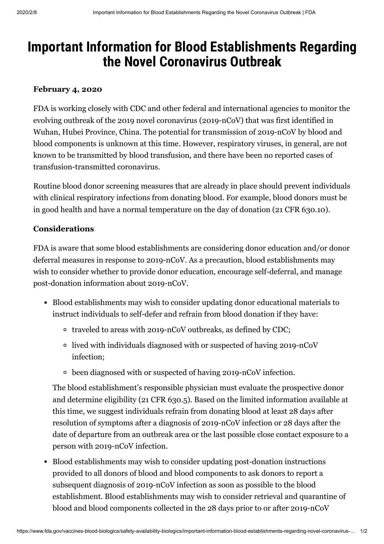## Important Information for Blood Establishments Regarding the Novel Coronavirus Outbreak

## February 4, 2020

FDA is working closely with CDC and other federal and international agencies to monitor the evolving outbreak of the 2019 novel coronavirus (2019-nCoV) that was first identified in Wuhan, Hubei Province, China. The potential for transmission of 2019-nCoV by blood and blood components is unknown at this time. However, respiratory viruses, in general, are not known to be transmitted by blood transfusion, and there have been no reported cases of transfusion-transmitted coronavirus.

Routine blood donor screening measures that are already in place should prevent individuals with clinical respiratory infections from donating blood. For example, blood donors must be in good health and have a normal temperature on the day of donation (21 CFR 630.10).

## Considerations

FDA is aware that some blood establishments are considering donor education and/or donor deferral measures in response to 2019-nCoV. As a precaution, blood establishments may wish to consider whether to provide donor education, encourage self-deferral, and manage post-donation information about 2019-nCoV.

- Blood establishments may wish to consider updating donor educational materials to instruct individuals to self-defer and refrain from blood donation if they have:
	- traveled to areas with 2019-nCoV outbreaks, as defined by CDC;
	- lived with individuals diagnosed with or suspected of having 2019-nCoV infection;
	- been diagnosed with or suspected of having 2019-nCoV infection.

The blood establishment's responsible physician must evaluate the prospective donor and determine eligibility (21 CFR 630.5). Based on the limited information available at this time, we suggest individuals refrain from donating blood at least 28 days after resolution of symptoms after a diagnosis of 2019-nCoV infection or 28 days after the date of departure from an outbreak area or the last possible close contact exposure to a person with 2019-nCoV infection.

Blood establishments may wish to consider updating post-donation instructions provided to all donors of blood and blood components to ask donors to report a subsequent diagnosis of 2019-nCoV infection as soon as possible to the blood establishment. Blood establishments may wish to consider retrieval and quarantine of blood and blood components collected in the 28 days prior to or after 2019-nCoV